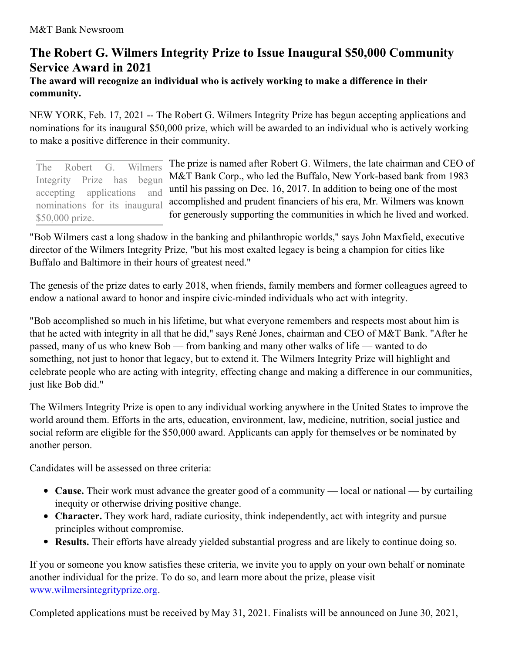## **The Robert G. Wilmers Integrity Prize to Issue Inaugural \$50,000 Community Service Award in 2021**

## **The award will recognize an individual who is actively working to make a difference in their community.**

NEW YORK, Feb. 17, 2021 -- The Robert G. Wilmers Integrity Prize has begun accepting applications and nominations for its inaugural \$50,000 prize, which will be awarded to an individual who is actively working to make a positive difference in their community.

The prize is named after Robert G. Wilmers, the late chairman and CEO of M&T Bank Corp., who led the Buffalo, New York-based bank from 1983 until his passing on Dec. 16, 2017. In addition to being one of the most accomplished and prudent financiers of his era, Mr. Wilmers was known for generously supporting the communities in which he lived and worked. The Robert G. Wilmers Integrity Prize has begun accepting applications and nominations for its inaugural \$50,000 prize.

"Bob Wilmers cast a long shadow in the banking and philanthropic worlds," says John Maxfield, executive director of the Wilmers Integrity Prize, "but his most exalted legacy is being a champion for cities like Buffalo and Baltimore in their hours of greatest need."

The genesis of the prize dates to early 2018, when friends, family members and former colleagues agreed to endow a national award to honor and inspire civic-minded individuals who act with integrity.

"Bob accomplished so much in his lifetime, but what everyone remembers and respects most about him is that he acted with integrity in all that he did," says René Jones, chairman and CEO of M&T Bank. "After he passed, many of us who knew Bob — from banking and many other walks of life — wanted to do something, not just to honor that legacy, but to extend it. The Wilmers Integrity Prize will highlight and celebrate people who are acting with integrity, effecting change and making a difference in our communities, just like Bob did."

The Wilmers Integrity Prize is open to any individual working anywhere in the United States to improve the world around them. Efforts in the arts, education, environment, law, medicine, nutrition, social justice and social reform are eligible for the \$50,000 award. Applicants can apply for themselves or be nominated by another person.

Candidates will be assessed on three criteria:

- **Cause.** Their work must advance the greater good of a community local or national by curtailing inequity or otherwise driving positive change.
- **Character.** They work hard, radiate curiosity, think independently, act with integrity and pursue principles without compromise.
- **Results.** Their efforts have already yielded substantial progress and are likely to continue doing so.

If you or someone you know satisfies these criteria, we invite you to apply on your own behalf or nominate another individual for the prize. To do so, and learn more about the prize, please visit [www.wilmersintegrityprize.org](https://c212.net/c/link/?t=0&l=en&o=3070470-1&h=3019535537&u=http%3A%2F%2Fwww.wilmersintegrityprize.org%2F&a=www.wilmersintegrityprize.org).

Completed applications must be received by May 31, 2021. Finalists will be announced on June 30, 2021,